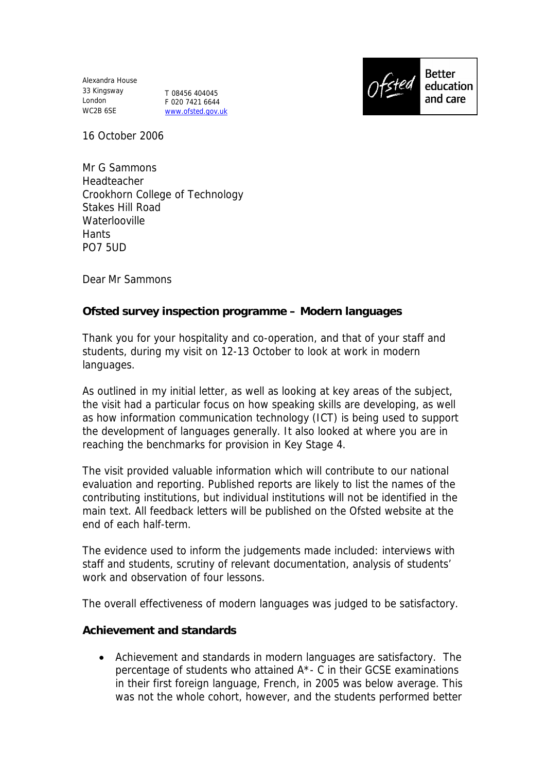Alexandra House 33 Kingsway London WC2B 6SE

T 08456 404045 F 020 7421 6644 www.ofsted.gov.uk



**Better** education and care

16 October 2006

Mr G Sammons Headteacher Crookhorn College of Technology Stakes Hill Road **Waterlooville Hants** PO7 5UD

Dear Mr Sammons

**Ofsted survey inspection programme – Modern languages**

Thank you for your hospitality and co-operation, and that of your staff and students, during my visit on 12-13 October to look at work in modern languages.

As outlined in my initial letter, as well as looking at key areas of the subject, the visit had a particular focus on how speaking skills are developing, as well as how information communication technology (ICT) is being used to support the development of languages generally. It also looked at where you are in reaching the benchmarks for provision in Key Stage 4.

The visit provided valuable information which will contribute to our national evaluation and reporting. Published reports are likely to list the names of the contributing institutions, but individual institutions will not be identified in the main text. All feedback letters will be published on the Ofsted website at the end of each half-term.

The evidence used to inform the judgements made included: interviews with staff and students, scrutiny of relevant documentation, analysis of students' work and observation of four lessons.

The overall effectiveness of modern languages was judged to be satisfactory.

**Achievement and standards**

 Achievement and standards in modern languages are satisfactory. The percentage of students who attained A\*- C in their GCSE examinations in their first foreign language, French, in 2005 was below average. This was not the whole cohort, however, and the students performed better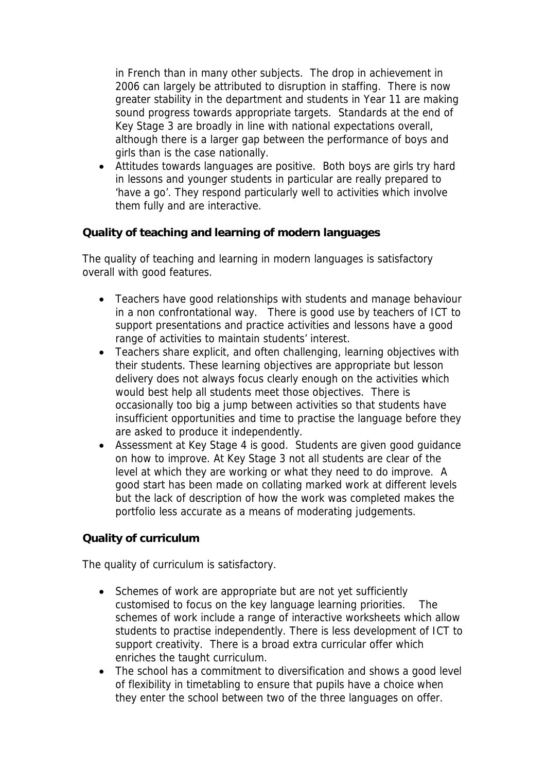in French than in many other subjects. The drop in achievement in 2006 can largely be attributed to disruption in staffing. There is now greater stability in the department and students in Year 11 are making sound progress towards appropriate targets. Standards at the end of Key Stage 3 are broadly in line with national expectations overall, although there is a larger gap between the performance of boys and girls than is the case nationally.

 Attitudes towards languages are positive. Both boys are girls try hard in lessons and younger students in particular are really prepared to 'have a go'. They respond particularly well to activities which involve them fully and are interactive.

**Quality of teaching and learning of modern languages**

The quality of teaching and learning in modern languages is satisfactory overall with good features.

- Teachers have good relationships with students and manage behaviour in a non confrontational way. There is good use by teachers of ICT to support presentations and practice activities and lessons have a good range of activities to maintain students' interest.
- Teachers share explicit, and often challenging, learning objectives with their students. These learning objectives are appropriate but lesson delivery does not always focus clearly enough on the activities which would best help all students meet those objectives. There is occasionally too big a jump between activities so that students have insufficient opportunities and time to practise the language before they are asked to produce it independently.
- Assessment at Key Stage 4 is good. Students are given good guidance on how to improve. At Key Stage 3 not all students are clear of the level at which they are working or what they need to do improve. A good start has been made on collating marked work at different levels but the lack of description of how the work was completed makes the portfolio less accurate as a means of moderating judgements.

**Quality of curriculum** 

The quality of curriculum is satisfactory.

- Schemes of work are appropriate but are not yet sufficiently customised to focus on the key language learning priorities. The schemes of work include a range of interactive worksheets which allow students to practise independently. There is less development of ICT to support creativity. There is a broad extra curricular offer which enriches the taught curriculum.
- The school has a commitment to diversification and shows a good level of flexibility in timetabling to ensure that pupils have a choice when they enter the school between two of the three languages on offer.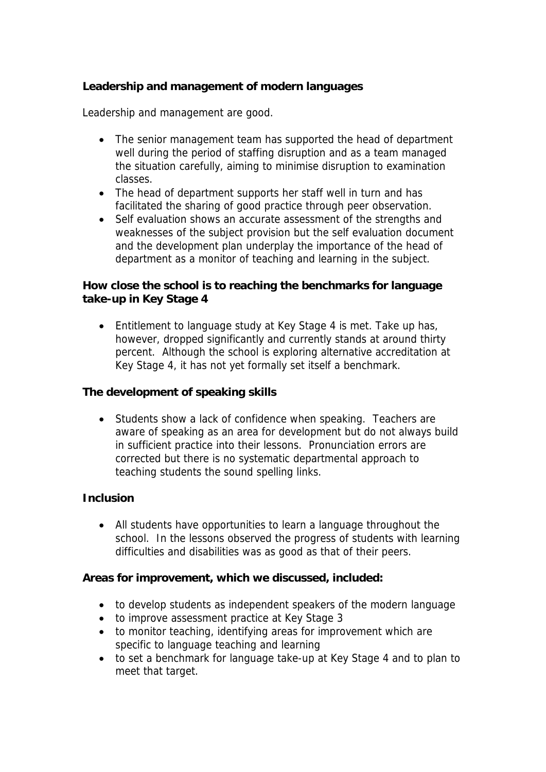**Leadership and management of modern languages**

Leadership and management are good.

- The senior management team has supported the head of department well during the period of staffing disruption and as a team managed the situation carefully, aiming to minimise disruption to examination classes.
- The head of department supports her staff well in turn and has facilitated the sharing of good practice through peer observation.
- Self evaluation shows an accurate assessment of the strengths and weaknesses of the subject provision but the self evaluation document and the development plan underplay the importance of the head of department as a monitor of teaching and learning in the subject.

**How close the school is to reaching the benchmarks for language take-up in Key Stage 4**

• Entitlement to language study at Key Stage 4 is met. Take up has, however, dropped significantly and currently stands at around thirty percent. Although the school is exploring alternative accreditation at Key Stage 4, it has not yet formally set itself a benchmark.

**The development of speaking skills**

• Students show a lack of confidence when speaking. Teachers are aware of speaking as an area for development but do not always build in sufficient practice into their lessons. Pronunciation errors are corrected but there is no systematic departmental approach to teaching students the sound spelling links.

## **Inclusion**

 All students have opportunities to learn a language throughout the school. In the lessons observed the progress of students with learning difficulties and disabilities was as good as that of their peers.

**Areas for improvement, which we discussed, included:**

- to develop students as independent speakers of the modern language
- to improve assessment practice at Key Stage 3
- to monitor teaching, identifying areas for improvement which are specific to language teaching and learning
- to set a benchmark for language take-up at Key Stage 4 and to plan to meet that target.